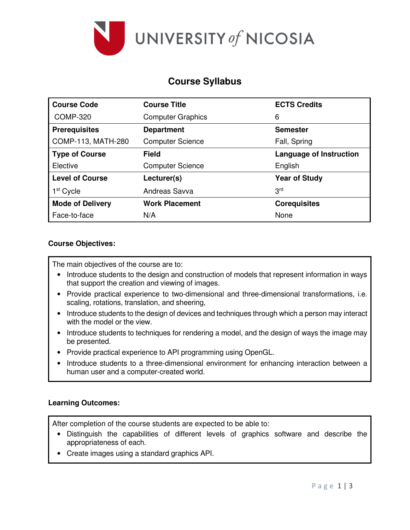

# **Course Syllabus**

| <b>Course Code</b>      | <b>Course Title</b>      | <b>ECTS Credits</b>            |  |  |
|-------------------------|--------------------------|--------------------------------|--|--|
| <b>COMP-320</b>         | <b>Computer Graphics</b> | 6                              |  |  |
| <b>Prerequisites</b>    | <b>Department</b>        | <b>Semester</b>                |  |  |
| COMP-113, MATH-280      | <b>Computer Science</b>  | Fall, Spring                   |  |  |
| <b>Type of Course</b>   | Field                    | <b>Language of Instruction</b> |  |  |
| Elective                | <b>Computer Science</b>  | English                        |  |  |
| <b>Level of Course</b>  | Lecturer(s)              | <b>Year of Study</b>           |  |  |
| 1 <sup>st</sup> Cycle   | Andreas Savva            | 3 <sup>rd</sup>                |  |  |
| <b>Mode of Delivery</b> | <b>Work Placement</b>    | <b>Corequisites</b>            |  |  |
| Face-to-face            | N/A                      | None                           |  |  |

### **Course Objectives:**

The main objectives of the course are to:

- Introduce students to the design and construction of models that represent information in ways that support the creation and viewing of images.
- Provide practical experience to two-dimensional and three-dimensional transformations, i.e. scaling, rotations, translation, and sheering,
- Introduce students to the design of devices and techniques through which a person may interact with the model or the view.
- Introduce students to techniques for rendering a model, and the design of ways the image may be presented.
- Provide practical experience to API programming using OpenGL.
- Introduce students to a three-dimensional environment for enhancing interaction between a human user and a computer-created world.

#### **Learning Outcomes:**

After completion of the course students are expected to be able to:

- Distinguish the capabilities of different levels of graphics software and describe the appropriateness of each.
- Create images using a standard graphics API.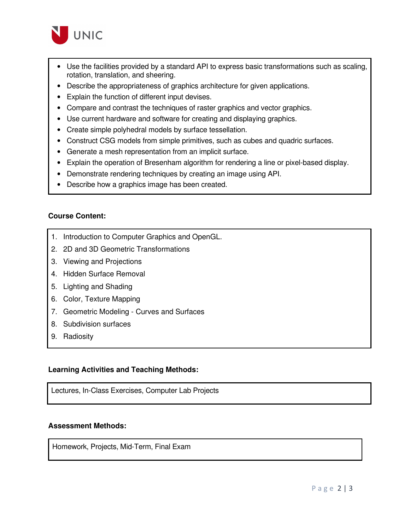

- Use the facilities provided by a standard API to express basic transformations such as scaling, rotation, translation, and sheering.
- Describe the appropriateness of graphics architecture for given applications.
- Explain the function of different input devises.
- Compare and contrast the techniques of raster graphics and vector graphics.
- Use current hardware and software for creating and displaying graphics.
- Create simple polyhedral models by surface tessellation.
- Construct CSG models from simple primitives, such as cubes and quadric surfaces.
- Generate a mesh representation from an implicit surface.
- Explain the operation of Bresenham algorithm for rendering a line or pixel-based display.
- Demonstrate rendering techniques by creating an image using API.
- Describe how a graphics image has been created.

#### **Course Content:**

- 1. Introduction to Computer Graphics and OpenGL.
- 2. 2D and 3D Geometric Transformations
- 3. Viewing and Projections
- 4. Hidden Surface Removal
- 5. Lighting and Shading
- 6. Color, Texture Mapping
- 7. Geometric Modeling Curves and Surfaces
- 8. Subdivision surfaces
- 9. Radiosity

#### **Learning Activities and Teaching Methods:**

Lectures, In-Class Exercises, Computer Lab Projects

#### **Assessment Methods:**

Homework, Projects, Mid-Term, Final Exam